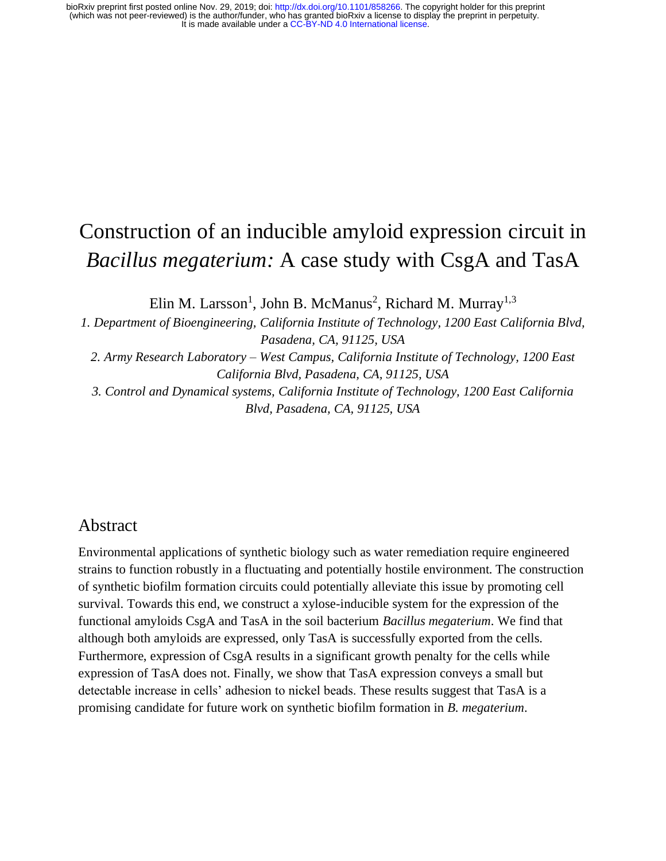# Construction of an inducible amyloid expression circuit in *Bacillus megaterium:* A case study with CsgA and TasA

Elin M. Larsson<sup>1</sup>, John B. McManus<sup>2</sup>, Richard M. Murray<sup>1,3</sup>

*1. Department of Bioengineering, California Institute of Technology, 1200 East California Blvd, Pasadena, CA, 91125, USA*

*2. Army Research Laboratory – West Campus, California Institute of Technology, 1200 East California Blvd, Pasadena, CA, 91125, USA*

*3. Control and Dynamical systems, California Institute of Technology, 1200 East California Blvd, Pasadena, CA, 91125, USA*

### Abstract

Environmental applications of synthetic biology such as water remediation require engineered strains to function robustly in a fluctuating and potentially hostile environment. The construction of synthetic biofilm formation circuits could potentially alleviate this issue by promoting cell survival. Towards this end, we construct a xylose-inducible system for the expression of the functional amyloids CsgA and TasA in the soil bacterium *Bacillus megaterium*. We find that although both amyloids are expressed, only TasA is successfully exported from the cells. Furthermore, expression of CsgA results in a significant growth penalty for the cells while expression of TasA does not. Finally, we show that TasA expression conveys a small but detectable increase in cells' adhesion to nickel beads. These results suggest that TasA is a promising candidate for future work on synthetic biofilm formation in *B. megaterium*.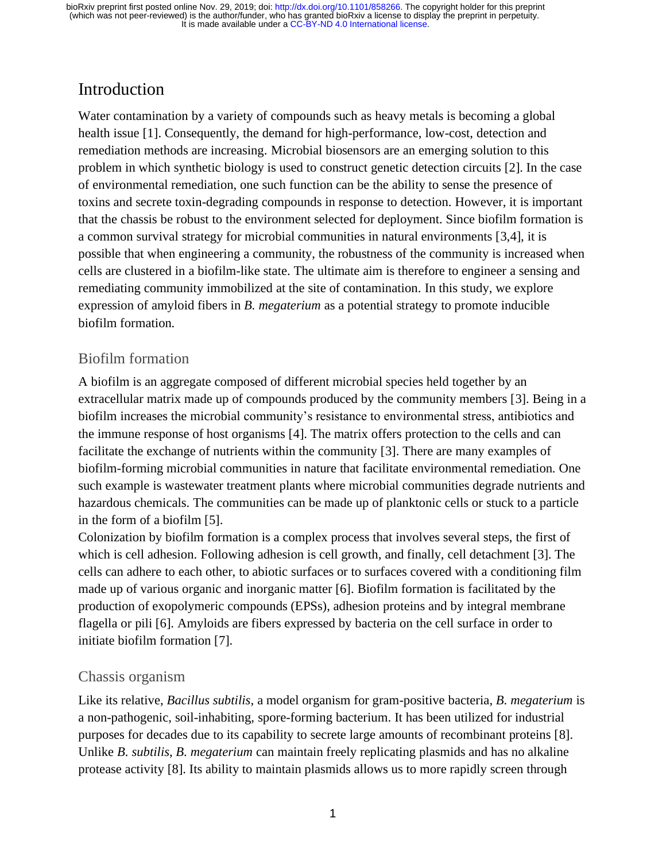# Introduction

Water contamination by a variety of compounds such as heavy metals is becoming a global health issue [1]. Consequently, the demand for high-performance, low-cost, detection and remediation methods are increasing. Microbial biosensors are an emerging solution to this problem in which synthetic biology is used to construct genetic detection circuits [2]. In the case of environmental remediation, one such function can be the ability to sense the presence of toxins and secrete toxin-degrading compounds in response to detection. However, it is important that the chassis be robust to the environment selected for deployment. Since biofilm formation is a common survival strategy for microbial communities in natural environments [3,4], it is possible that when engineering a community, the robustness of the community is increased when cells are clustered in a biofilm-like state. The ultimate aim is therefore to engineer a sensing and remediating community immobilized at the site of contamination. In this study, we explore expression of amyloid fibers in *B. megaterium* as a potential strategy to promote inducible biofilm formation.

### Biofilm formation

A biofilm is an aggregate composed of different microbial species held together by an extracellular matrix made up of compounds produced by the community members [3]. Being in a biofilm increases the microbial community's resistance to environmental stress, antibiotics and the immune response of host organisms [4]. The matrix offers protection to the cells and can facilitate the exchange of nutrients within the community [3]. There are many examples of biofilm-forming microbial communities in nature that facilitate environmental remediation. One such example is wastewater treatment plants where microbial communities degrade nutrients and hazardous chemicals. The communities can be made up of planktonic cells or stuck to a particle in the form of a biofilm [5].

Colonization by biofilm formation is a complex process that involves several steps, the first of which is cell adhesion. Following adhesion is cell growth, and finally, cell detachment [3]. The cells can adhere to each other, to abiotic surfaces or to surfaces covered with a conditioning film made up of various organic and inorganic matter [6]. Biofilm formation is facilitated by the production of exopolymeric compounds (EPSs), adhesion proteins and by integral membrane flagella or pili [6]. Amyloids are fibers expressed by bacteria on the cell surface in order to initiate biofilm formation [7].

### Chassis organism

Like its relative, *Bacillus subtilis*, a model organism for gram-positive bacteria, *B. megaterium* is a non-pathogenic, soil-inhabiting, spore-forming bacterium. It has been utilized for industrial purposes for decades due to its capability to secrete large amounts of recombinant proteins [8]. Unlike *B. subtilis*, *B. megaterium* can maintain freely replicating plasmids and has no alkaline protease activity [8]. Its ability to maintain plasmids allows us to more rapidly screen through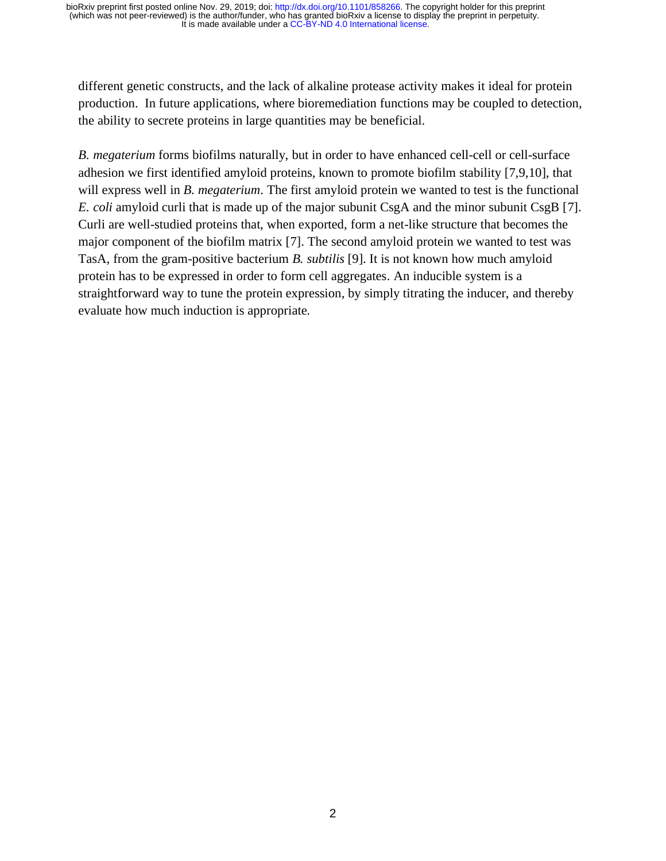different genetic constructs, and the lack of alkaline protease activity makes it ideal for protein production. In future applications, where bioremediation functions may be coupled to detection, the ability to secrete proteins in large quantities may be beneficial.

*B. megaterium* forms biofilms naturally, but in order to have enhanced cell-cell or cell-surface adhesion we first identified amyloid proteins, known to promote biofilm stability [7,9,10], that will express well in *B. megaterium*. The first amyloid protein we wanted to test is the functional *E. coli* amyloid curli that is made up of the major subunit CsgA and the minor subunit CsgB [7]. Curli are well-studied proteins that, when exported, form a net-like structure that becomes the major component of the biofilm matrix [7]. The second amyloid protein we wanted to test was TasA, from the gram-positive bacterium *B. subtilis* [9]. It is not known how much amyloid protein has to be expressed in order to form cell aggregates. An inducible system is a straightforward way to tune the protein expression, by simply titrating the inducer, and thereby evaluate how much induction is appropriate.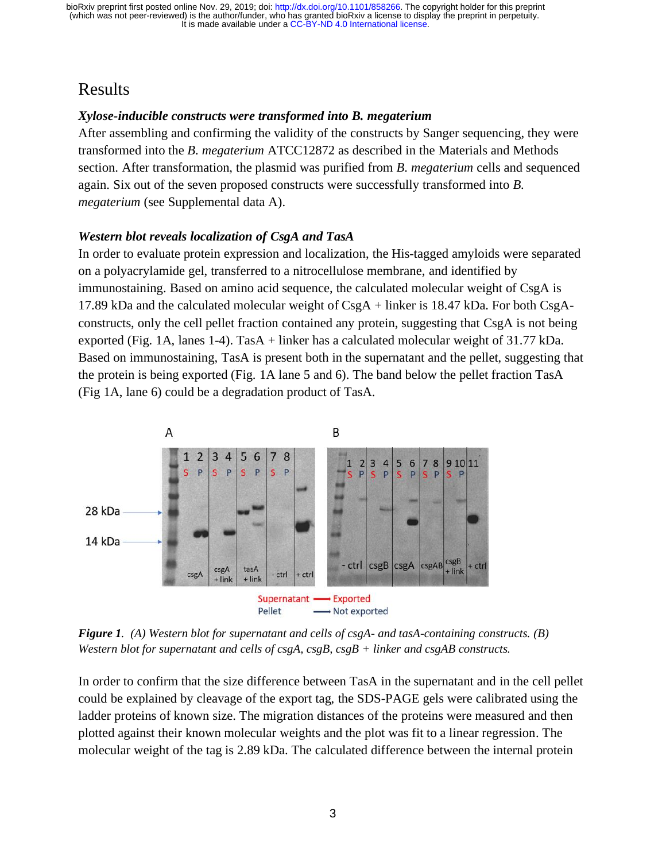# Results

#### *Xylose-inducible constructs were transformed into B. megaterium*

After assembling and confirming the validity of the constructs by Sanger sequencing, they were transformed into the *B. megaterium* ATCC12872 as described in the Materials and Methods section. After transformation, the plasmid was purified from *B. megaterium* cells and sequenced again. Six out of the seven proposed constructs were successfully transformed into *B. megaterium* (see Supplemental data A).

#### *Western blot reveals localization of CsgA and TasA*

In order to evaluate protein expression and localization, the His-tagged amyloids were separated on a polyacrylamide gel, transferred to a nitrocellulose membrane, and identified by immunostaining. Based on amino acid sequence, the calculated molecular weight of CsgA is 17.89 kDa and the calculated molecular weight of  $CsgA +$  linker is 18.47 kDa. For both  $CsgA$ constructs, only the cell pellet fraction contained any protein, suggesting that CsgA is not being exported (Fig. 1A, lanes 1-4). TasA + linker has a calculated molecular weight of 31.77 kDa. Based on immunostaining, TasA is present both in the supernatant and the pellet, suggesting that the protein is being exported (Fig. 1A lane 5 and 6). The band below the pellet fraction TasA (Fig 1A, lane 6) could be a degradation product of TasA.



*Figure 1. (A) Western blot for supernatant and cells of csgA- and tasA-containing constructs. (B) Western blot for supernatant and cells of csgA, csgB, csgB + linker and csgAB constructs.* 

In order to confirm that the size difference between TasA in the supernatant and in the cell pellet could be explained by cleavage of the export tag, the SDS-PAGE gels were calibrated using the ladder proteins of known size. The migration distances of the proteins were measured and then plotted against their known molecular weights and the plot was fit to a linear regression. The molecular weight of the tag is 2.89 kDa. The calculated difference between the internal protein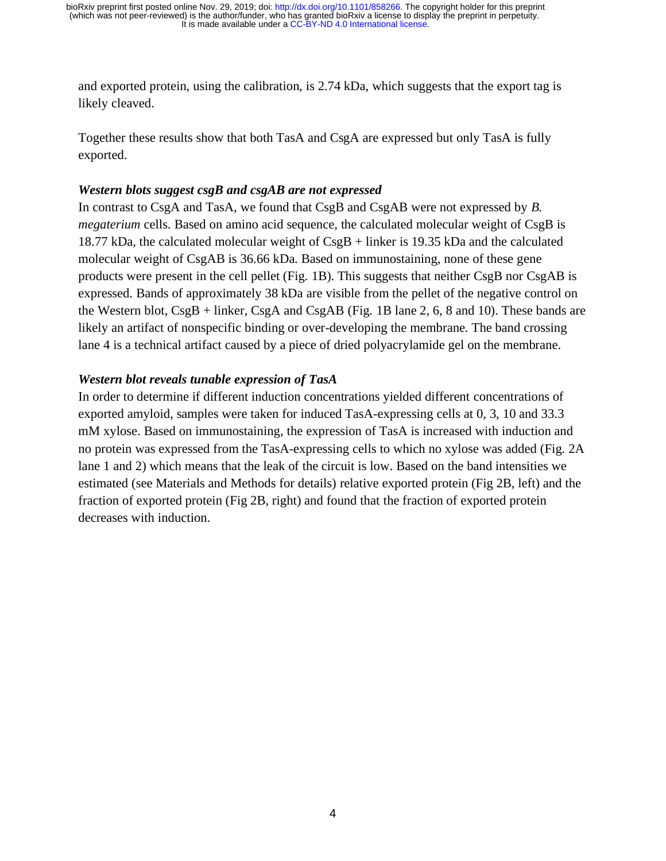and exported protein, using the calibration, is 2.74 kDa, which suggests that the export tag is likely cleaved.

Together these results show that both TasA and CsgA are expressed but only TasA is fully exported.

#### *Western blots suggest csgB and csgAB are not expressed*

In contrast to CsgA and TasA, we found that CsgB and CsgAB were not expressed by *B*. *megaterium* cells. Based on amino acid sequence, the calculated molecular weight of CsgB is 18.77 kDa, the calculated molecular weight of CsgB + linker is 19.35 kDa and the calculated molecular weight of CsgAB is 36.66 kDa. Based on immunostaining, none of these gene products were present in the cell pellet (Fig. 1B). This suggests that neither CsgB nor CsgAB is expressed. Bands of approximately 38 kDa are visible from the pellet of the negative control on the Western blot, CsgB + linker, CsgA and CsgAB (Fig. 1B lane 2, 6, 8 and 10). These bands are likely an artifact of nonspecific binding or over-developing the membrane. The band crossing lane 4 is a technical artifact caused by a piece of dried polyacrylamide gel on the membrane.

#### *Western blot reveals tunable expression of TasA*

In order to determine if different induction concentrations yielded different concentrations of exported amyloid, samples were taken for induced TasA-expressing cells at 0, 3, 10 and 33.3 mM xylose. Based on immunostaining, the expression of TasA is increased with induction and no protein was expressed from the TasA-expressing cells to which no xylose was added (Fig. 2A lane 1 and 2) which means that the leak of the circuit is low. Based on the band intensities we estimated (see Materials and Methods for details) relative exported protein (Fig 2B, left) and the fraction of exported protein (Fig 2B, right) and found that the fraction of exported protein decreases with induction.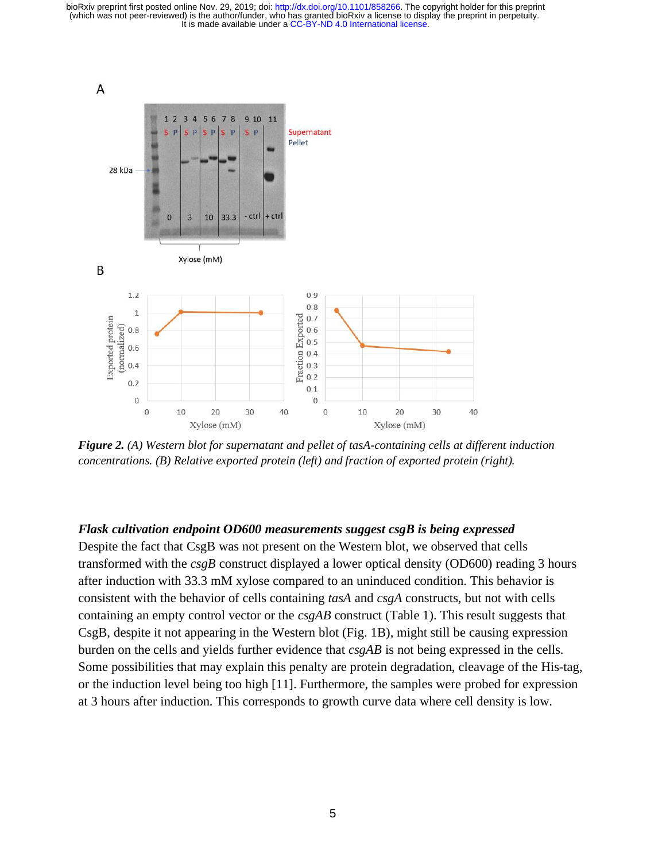

*Figure 2. (A) Western blot for supernatant and pellet of tasA-containing cells at different induction concentrations. (B) Relative exported protein (left) and fraction of exported protein (right).*

#### *Flask cultivation endpoint OD600 measurements suggest csgB is being expressed*

Despite the fact that CsgB was not present on the Western blot, we observed that cells transformed with the *csgB* construct displayed a lower optical density (OD600) reading 3 hours after induction with 33.3 mM xylose compared to an uninduced condition. This behavior is consistent with the behavior of cells containing *tasA* and *csgA* constructs, but not with cells containing an empty control vector or the *csgAB* construct (Table 1). This result suggests that CsgB, despite it not appearing in the Western blot (Fig. 1B), might still be causing expression burden on the cells and yields further evidence that *csgAB* is not being expressed in the cells. Some possibilities that may explain this penalty are protein degradation, cleavage of the His-tag, or the induction level being too high [11]. Furthermore, the samples were probed for expression at 3 hours after induction. This corresponds to growth curve data where cell density is low.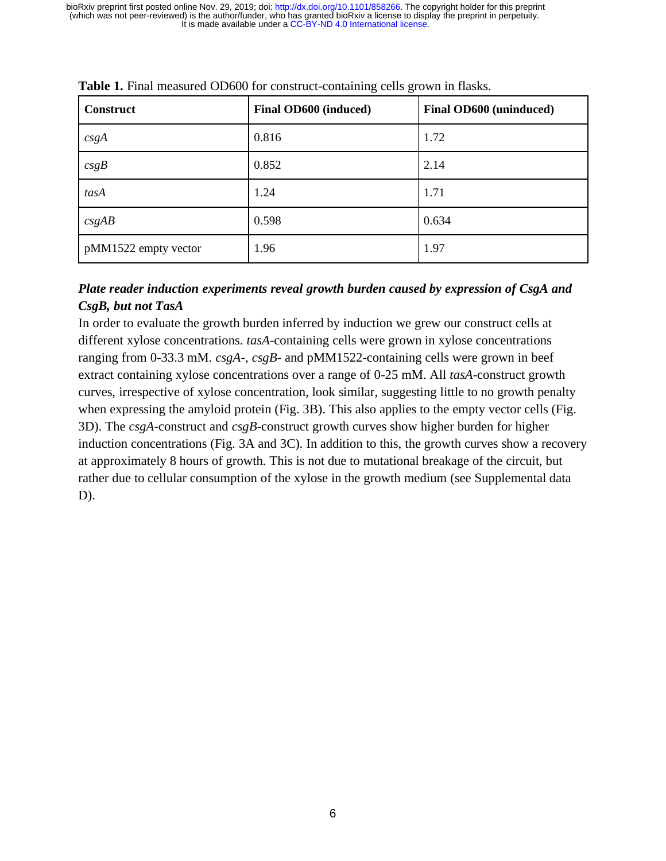| <b>Construct</b>     | Final OD600 (induced) | Final OD600 (uninduced) |
|----------------------|-----------------------|-------------------------|
| csgA                 | 0.816                 | 1.72                    |
| csgB                 | 0.852                 | 2.14                    |
| tasA                 | 1.24                  | 1.71                    |
| csgAB                | 0.598                 | 0.634                   |
| pMM1522 empty vector | 1.96                  | 1.97                    |

**Table 1.** Final measured OD600 for construct-containing cells grown in flasks.

#### *Plate reader induction experiments reveal growth burden caused by expression of CsgA and CsgB, but not TasA*

In order to evaluate the growth burden inferred by induction we grew our construct cells at different xylose concentrations. *tasA*-containing cells were grown in xylose concentrations ranging from 0-33.3 mM. *csgA*-, *csgB*- and pMM1522-containing cells were grown in beef extract containing xylose concentrations over a range of 0-25 mM. All *tasA*-construct growth curves, irrespective of xylose concentration, look similar, suggesting little to no growth penalty when expressing the amyloid protein (Fig. 3B). This also applies to the empty vector cells (Fig. 3D). The *csgA*-construct and *csgB*-construct growth curves show higher burden for higher induction concentrations (Fig. 3A and 3C). In addition to this, the growth curves show a recovery at approximately 8 hours of growth. This is not due to mutational breakage of the circuit, but rather due to cellular consumption of the xylose in the growth medium (see Supplemental data D).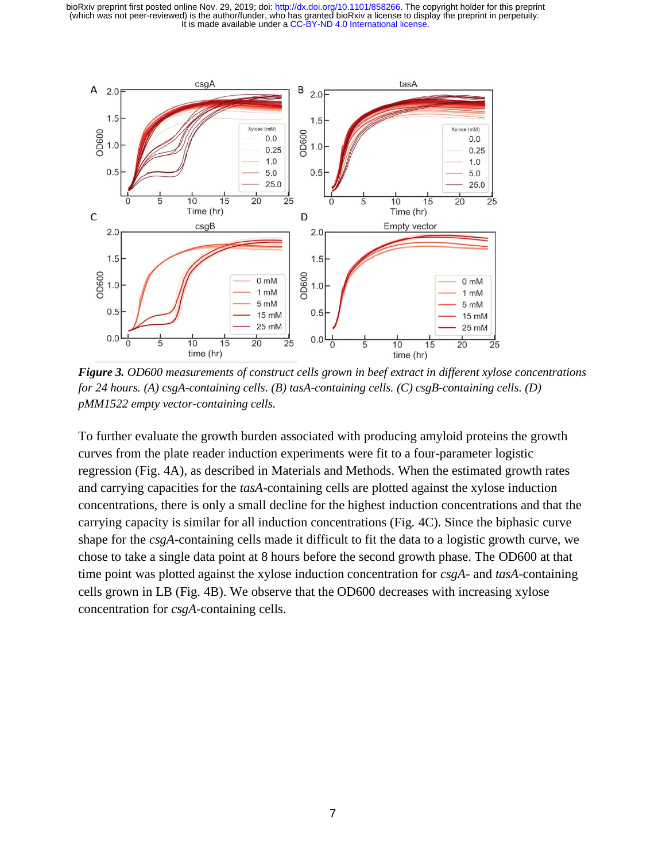

*Figure 3. OD600 measurements of construct cells grown in beef extract in different xylose concentrations for 24 hours. (A) csgA-containing cells. (B) tasA-containing cells. (C) csgB-containing cells. (D) pMM1522 empty vector-containing cells.*

To further evaluate the growth burden associated with producing amyloid proteins the growth curves from the plate reader induction experiments were fit to a four-parameter logistic regression (Fig. 4A), as described in Materials and Methods. When the estimated growth rates and carrying capacities for the *tasA*-containing cells are plotted against the xylose induction concentrations, there is only a small decline for the highest induction concentrations and that the carrying capacity is similar for all induction concentrations (Fig. 4C). Since the biphasic curve shape for the *csgA*-containing cells made it difficult to fit the data to a logistic growth curve, we chose to take a single data point at 8 hours before the second growth phase. The OD600 at that time point was plotted against the xylose induction concentration for *csgA*- and *tasA*-containing cells grown in LB (Fig. 4B). We observe that the OD600 decreases with increasing xylose concentration for *csgA*-containing cells.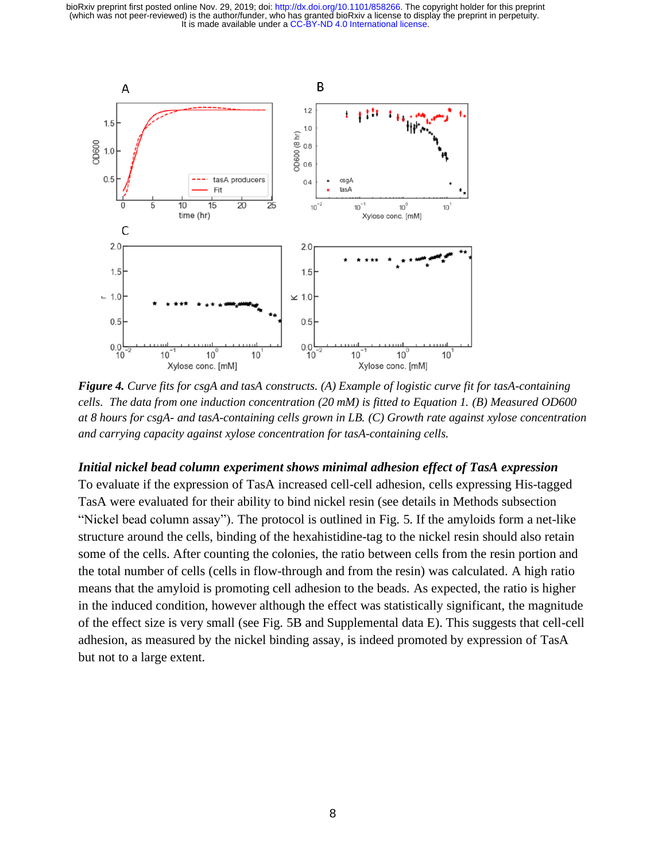

*Figure 4. Curve fits for csgA and tasA constructs. (A) Example of logistic curve fit for tasA-containing cells. The data from one induction concentration (20 mM) is fitted to Equation 1. (B) Measured OD600 at 8 hours for csgA- and tasA-containing cells grown in LB. (C) Growth rate against xylose concentration and carrying capacity against xylose concentration for tasA-containing cells.* 

#### *Initial nickel bead column experiment shows minimal adhesion effect of TasA expression*

To evaluate if the expression of TasA increased cell-cell adhesion, cells expressing His-tagged TasA were evaluated for their ability to bind nickel resin (see details in Methods subsection "Nickel bead column assay"). The protocol is outlined in Fig. 5. If the amyloids form a net-like structure around the cells, binding of the hexahistidine-tag to the nickel resin should also retain some of the cells. After counting the colonies, the ratio between cells from the resin portion and the total number of cells (cells in flow-through and from the resin) was calculated. A high ratio means that the amyloid is promoting cell adhesion to the beads. As expected, the ratio is higher in the induced condition, however although the effect was statistically significant, the magnitude of the effect size is very small (see Fig. 5B and Supplemental data E). This suggests that cell-cell adhesion, as measured by the nickel binding assay, is indeed promoted by expression of TasA but not to a large extent.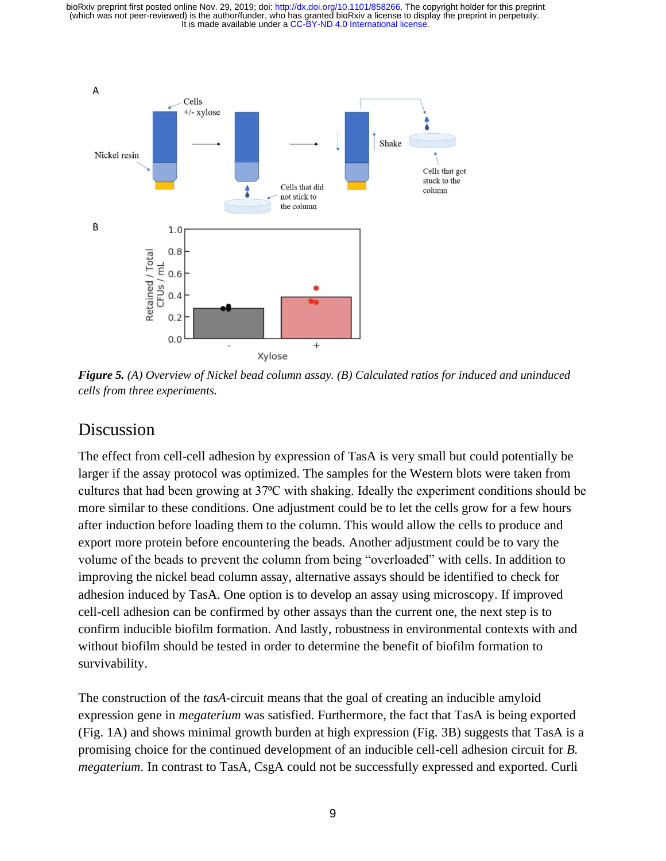

*Figure 5. (A) Overview of Nickel bead column assay. (B) Calculated ratios for induced and uninduced cells from three experiments.*

### Discussion

The effect from cell-cell adhesion by expression of TasA is very small but could potentially be larger if the assay protocol was optimized. The samples for the Western blots were taken from cultures that had been growing at 37<sup>o</sup>C with shaking. Ideally the experiment conditions should be more similar to these conditions. One adjustment could be to let the cells grow for a few hours after induction before loading them to the column. This would allow the cells to produce and export more protein before encountering the beads. Another adjustment could be to vary the volume of the beads to prevent the column from being "overloaded" with cells. In addition to improving the nickel bead column assay, alternative assays should be identified to check for adhesion induced by TasA. One option is to develop an assay using microscopy. If improved cell-cell adhesion can be confirmed by other assays than the current one, the next step is to confirm inducible biofilm formation. And lastly, robustness in environmental contexts with and without biofilm should be tested in order to determine the benefit of biofilm formation to survivability.

The construction of the *tasA*-circuit means that the goal of creating an inducible amyloid expression gene in *megaterium* was satisfied. Furthermore, the fact that TasA is being exported (Fig. 1A) and shows minimal growth burden at high expression (Fig. 3B) suggests that TasA is a promising choice for the continued development of an inducible cell-cell adhesion circuit for *B. megaterium*. In contrast to TasA, CsgA could not be successfully expressed and exported. Curli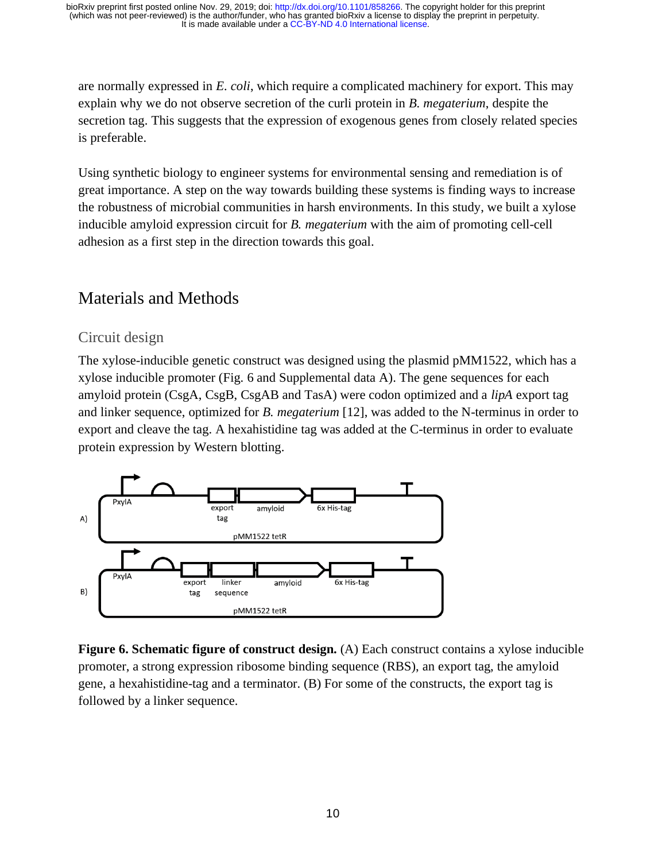are normally expressed in *E. coli*, which require a complicated machinery for export. This may explain why we do not observe secretion of the curli protein in *B. megaterium*, despite the secretion tag. This suggests that the expression of exogenous genes from closely related species is preferable.

Using synthetic biology to engineer systems for environmental sensing and remediation is of great importance. A step on the way towards building these systems is finding ways to increase the robustness of microbial communities in harsh environments. In this study, we built a xylose inducible amyloid expression circuit for *B. megaterium* with the aim of promoting cell-cell adhesion as a first step in the direction towards this goal.

## Materials and Methods

#### Circuit design

The xylose-inducible genetic construct was designed using the plasmid pMM1522, which has a xylose inducible promoter (Fig. 6 and Supplemental data A). The gene sequences for each amyloid protein (CsgA, CsgB, CsgAB and TasA) were codon optimized and a *lipA* export tag and linker sequence, optimized for *B. megaterium* [12], was added to the N-terminus in order to export and cleave the tag. A hexahistidine tag was added at the C-terminus in order to evaluate protein expression by Western blotting.



**Figure 6. Schematic figure of construct design.** (A) Each construct contains a xylose inducible promoter, a strong expression ribosome binding sequence (RBS), an export tag, the amyloid gene, a hexahistidine-tag and a terminator. (B) For some of the constructs, the export tag is followed by a linker sequence.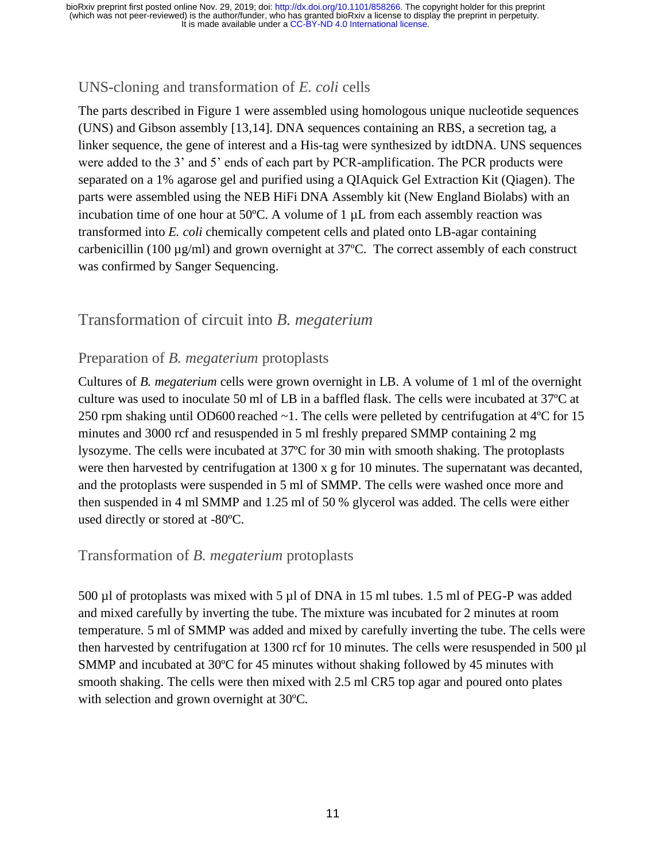### UNS-cloning and transformation of *E. coli* cells

The parts described in Figure 1 were assembled using homologous unique nucleotide sequences (UNS) and Gibson assembly [13,14]. DNA sequences containing an RBS, a secretion tag, a linker sequence, the gene of interest and a His-tag were synthesized by idtDNA. UNS sequences were added to the 3' and 5' ends of each part by PCR-amplification. The PCR products were separated on a 1% agarose gel and purified using a QIAquick Gel Extraction Kit (Qiagen). The parts were assembled using the NEB HiFi DNA Assembly kit (New England Biolabs) with an incubation time of one hour at  $50^{\circ}$ C. A volume of 1  $\mu$ L from each assembly reaction was transformed into *E. coli* chemically competent cells and plated onto LB-agar containing carbenicillin (100 µg/ml) and grown overnight at 37ºC. The correct assembly of each construct was confirmed by Sanger Sequencing.

### Transformation of circuit into *B. megaterium*

#### Preparation of *B. megaterium* protoplasts

Cultures of *B. megaterium* cells were grown overnight in LB. A volume of 1 ml of the overnight culture was used to inoculate 50 ml of LB in a baffled flask. The cells were incubated at 37ºC at 250 rpm shaking until OD600 reached ~1. The cells were pelleted by centrifugation at 4ºC for 15 minutes and 3000 rcf and resuspended in 5 ml freshly prepared SMMP containing 2 mg lysozyme. The cells were incubated at 37ºC for 30 min with smooth shaking. The protoplasts were then harvested by centrifugation at 1300 x g for 10 minutes. The supernatant was decanted, and the protoplasts were suspended in 5 ml of SMMP. The cells were washed once more and then suspended in 4 ml SMMP and 1.25 ml of 50 % glycerol was added. The cells were either used directly or stored at -80ºC.

#### Transformation of *B. megaterium* protoplasts

500 µl of protoplasts was mixed with 5 µl of DNA in 15 ml tubes. 1.5 ml of PEG-P was added and mixed carefully by inverting the tube. The mixture was incubated for 2 minutes at room temperature. 5 ml of SMMP was added and mixed by carefully inverting the tube. The cells were then harvested by centrifugation at 1300 rcf for 10 minutes. The cells were resuspended in 500 µl SMMP and incubated at 30ºC for 45 minutes without shaking followed by 45 minutes with smooth shaking. The cells were then mixed with 2.5 ml CR5 top agar and poured onto plates with selection and grown overnight at 30ºC.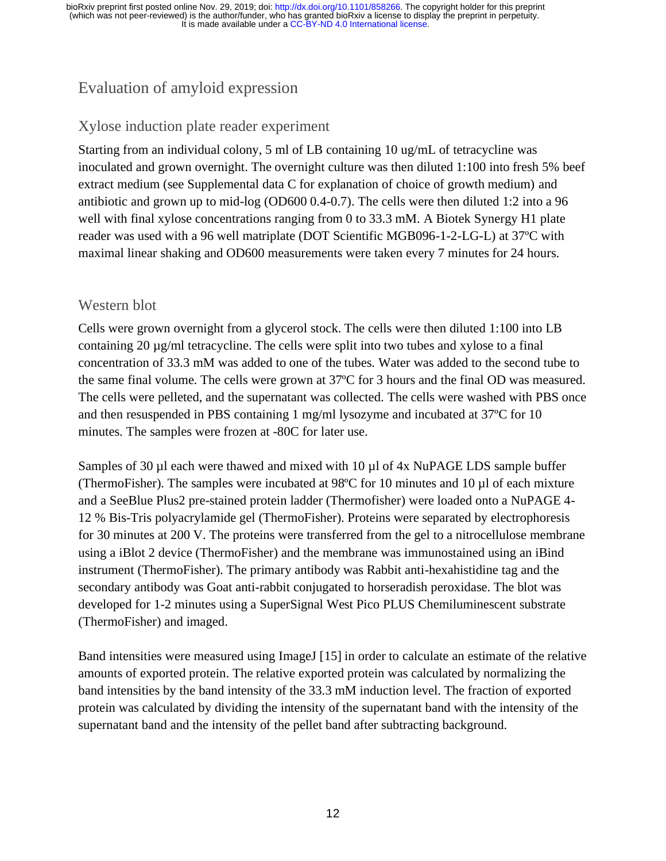# Evaluation of amyloid expression

### Xylose induction plate reader experiment

Starting from an individual colony, 5 ml of LB containing 10 ug/mL of tetracycline was inoculated and grown overnight. The overnight culture was then diluted 1:100 into fresh 5% beef extract medium (see Supplemental data C for explanation of choice of growth medium) and antibiotic and grown up to mid-log (OD600 0.4-0.7). The cells were then diluted 1:2 into a 96 well with final xylose concentrations ranging from 0 to 33.3 mM. A Biotek Synergy H1 plate reader was used with a 96 well matriplate (DOT Scientific MGB096-1-2-LG-L) at 37ºC with maximal linear shaking and OD600 measurements were taken every 7 minutes for 24 hours.

### Western blot

Cells were grown overnight from a glycerol stock. The cells were then diluted 1:100 into LB containing 20 µg/ml tetracycline. The cells were split into two tubes and xylose to a final concentration of 33.3 mM was added to one of the tubes. Water was added to the second tube to the same final volume. The cells were grown at 37ºC for 3 hours and the final OD was measured. The cells were pelleted, and the supernatant was collected. The cells were washed with PBS once and then resuspended in PBS containing 1 mg/ml lysozyme and incubated at 37ºC for 10 minutes. The samples were frozen at -80C for later use.

Samples of 30  $\mu$ l each were thawed and mixed with 10  $\mu$ l of 4x NuPAGE LDS sample buffer (ThermoFisher). The samples were incubated at 98ºC for 10 minutes and 10 µl of each mixture and a SeeBlue Plus2 pre-stained protein ladder (Thermofisher) were loaded onto a NuPAGE 4- 12 % Bis-Tris polyacrylamide gel (ThermoFisher). Proteins were separated by electrophoresis for 30 minutes at 200 V. The proteins were transferred from the gel to a nitrocellulose membrane using a iBlot 2 device (ThermoFisher) and the membrane was immunostained using an iBind instrument (ThermoFisher). The primary antibody was Rabbit anti-hexahistidine tag and the secondary antibody was Goat anti-rabbit conjugated to horseradish peroxidase. The blot was developed for 1-2 minutes using a SuperSignal West Pico PLUS Chemiluminescent substrate (ThermoFisher) and imaged.

Band intensities were measured using ImageJ [15] in order to calculate an estimate of the relative amounts of exported protein. The relative exported protein was calculated by normalizing the band intensities by the band intensity of the 33.3 mM induction level. The fraction of exported protein was calculated by dividing the intensity of the supernatant band with the intensity of the supernatant band and the intensity of the pellet band after subtracting background.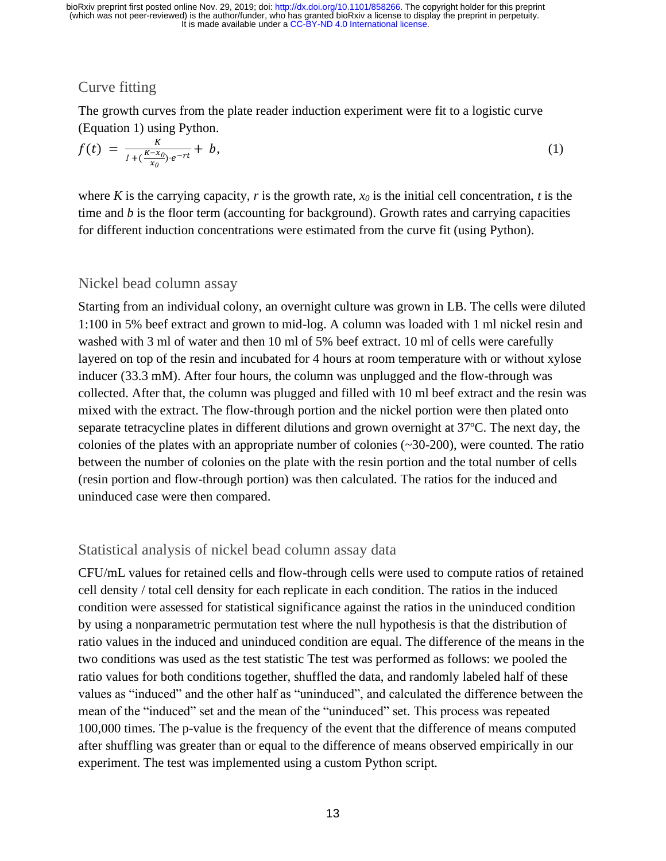### Curve fitting

The growth curves from the plate reader induction experiment were fit to a logistic curve (Equation 1) using Python.

$$
f(t) = \frac{K}{1 + (\frac{K - x_0}{x_0}) \cdot e^{-rt}} + b,\tag{1}
$$

where *K* is the carrying capacity, *r* is the growth rate,  $x_0$  is the initial cell concentration, *t* is the time and *b* is the floor term (accounting for background). Growth rates and carrying capacities for different induction concentrations were estimated from the curve fit (using Python).

#### Nickel bead column assay

Starting from an individual colony, an overnight culture was grown in LB. The cells were diluted 1:100 in 5% beef extract and grown to mid-log. A column was loaded with 1 ml nickel resin and washed with 3 ml of water and then 10 ml of 5% beef extract. 10 ml of cells were carefully layered on top of the resin and incubated for 4 hours at room temperature with or without xylose inducer (33.3 mM). After four hours, the column was unplugged and the flow-through was collected. After that, the column was plugged and filled with 10 ml beef extract and the resin was mixed with the extract. The flow-through portion and the nickel portion were then plated onto separate tetracycline plates in different dilutions and grown overnight at 37ºC. The next day, the colonies of the plates with an appropriate number of colonies  $(\sim 30{\sim}200)$ , were counted. The ratio between the number of colonies on the plate with the resin portion and the total number of cells (resin portion and flow-through portion) was then calculated. The ratios for the induced and uninduced case were then compared.

#### Statistical analysis of nickel bead column assay data

CFU/mL values for retained cells and flow-through cells were used to compute ratios of retained cell density / total cell density for each replicate in each condition. The ratios in the induced condition were assessed for statistical significance against the ratios in the uninduced condition by using a nonparametric permutation test where the null hypothesis is that the distribution of ratio values in the induced and uninduced condition are equal. The difference of the means in the two conditions was used as the test statistic The test was performed as follows: we pooled the ratio values for both conditions together, shuffled the data, and randomly labeled half of these values as "induced" and the other half as "uninduced", and calculated the difference between the mean of the "induced" set and the mean of the "uninduced" set. This process was repeated 100,000 times. The p-value is the frequency of the event that the difference of means computed after shuffling was greater than or equal to the difference of means observed empirically in our experiment. The test was implemented using a custom Python script.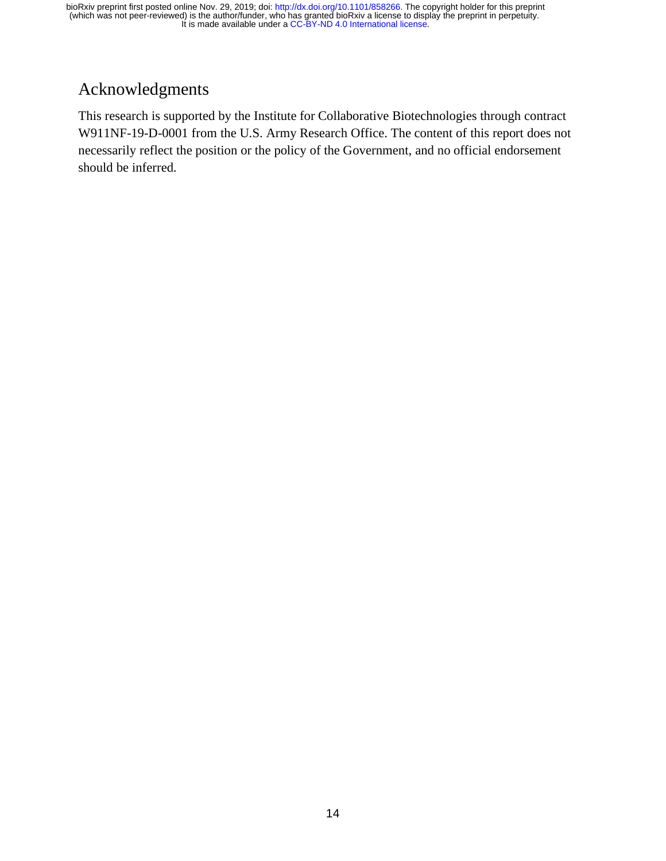# Acknowledgments

This research is supported by the Institute for Collaborative Biotechnologies through contract W911NF-19-D-0001 from the U.S. Army Research Office. The content of this report does not necessarily reflect the position or the policy of the Government, and no official endorsement should be inferred.